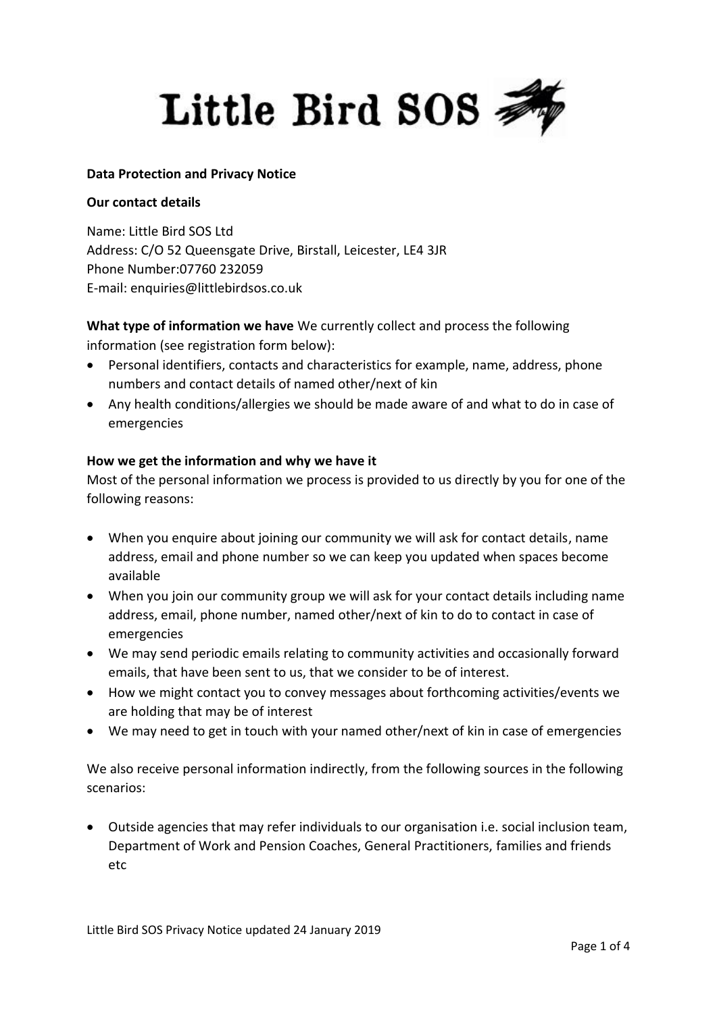

#### **Data Protection and Privacy Notice**

#### **Our contact details**

Name: Little Bird SOS Ltd Address: C/O 52 Queensgate Drive, Birstall, Leicester, LE4 3JR Phone Number:07760 232059 E-mail: enquiries@littlebirdsos.co.uk

**What type of information we have** We currently collect and process the following information (see registration form below):

- Personal identifiers, contacts and characteristics for example, name, address, phone numbers and contact details of named other/next of kin
- Any health conditions/allergies we should be made aware of and what to do in case of emergencies

#### **How we get the information and why we have it**

Most of the personal information we process is provided to us directly by you for one of the following reasons:

- When you enquire about joining our community we will ask for contact details, name address, email and phone number so we can keep you updated when spaces become available
- When you join our community group we will ask for your contact details including name address, email, phone number, named other/next of kin to do to contact in case of emergencies
- We may send periodic emails relating to community activities and occasionally forward emails, that have been sent to us, that we consider to be of interest.
- How we might contact you to convey messages about forthcoming activities/events we are holding that may be of interest
- We may need to get in touch with your named other/next of kin in case of emergencies

We also receive personal information indirectly, from the following sources in the following scenarios:

 Outside agencies that may refer individuals to our organisation i.e. social inclusion team, Department of Work and Pension Coaches, General Practitioners, families and friends etc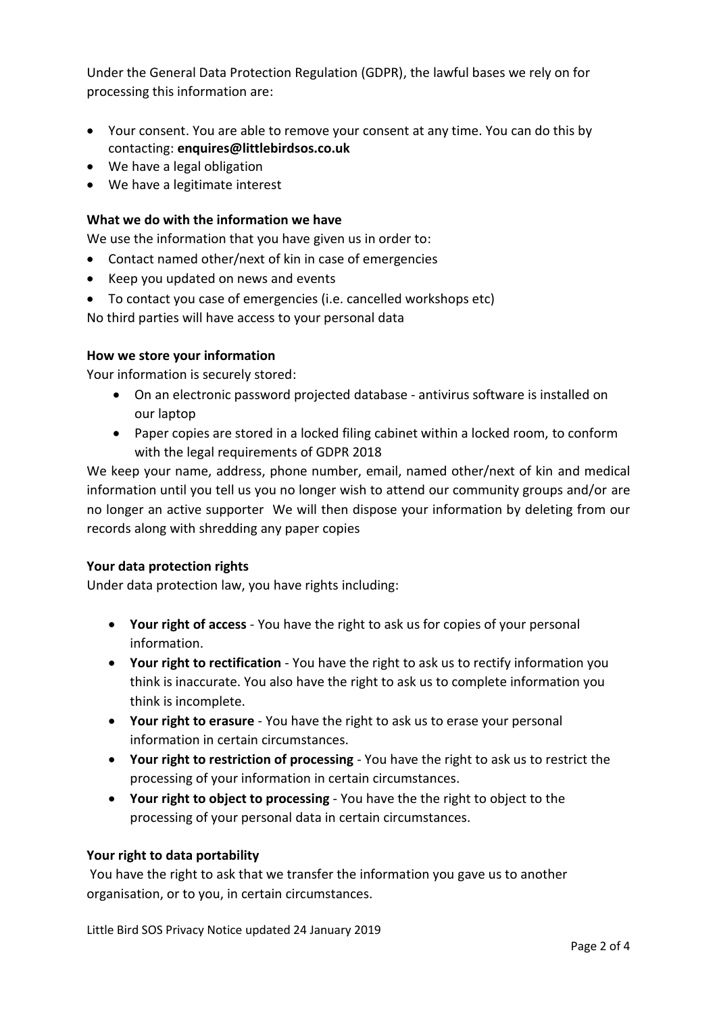Under the General Data Protection Regulation (GDPR), the lawful bases we rely on for processing this information are:

- Your consent. You are able to remove your consent at any time. You can do this by contacting: **enquires@littlebirdsos.co.uk**
- We have a legal obligation
- We have a legitimate interest

### **What we do with the information we have**

We use the information that you have given us in order to:

- Contact named other/next of kin in case of emergencies
- Keep you updated on news and events
- To contact you case of emergencies (i.e. cancelled workshops etc)

No third parties will have access to your personal data

#### **How we store your information**

Your information is securely stored:

- On an electronic password projected database antivirus software is installed on our laptop
- Paper copies are stored in a locked filing cabinet within a locked room, to conform with the legal requirements of GDPR 2018

We keep your name, address, phone number, email, named other/next of kin and medical information until you tell us you no longer wish to attend our community groups and/or are no longer an active supporter We will then dispose your information by deleting from our records along with shredding any paper copies

#### **Your data protection rights**

Under data protection law, you have rights including:

- **Your right of access** You have the right to ask us for copies of your personal information.
- **Your right to rectification** You have the right to ask us to rectify information you think is inaccurate. You also have the right to ask us to complete information you think is incomplete.
- **Your right to erasure** You have the right to ask us to erase your personal information in certain circumstances.
- **Your right to restriction of processing** You have the right to ask us to restrict the processing of your information in certain circumstances.
- **Your right to object to processing** You have the the right to object to the processing of your personal data in certain circumstances.

#### **Your right to data portability**

You have the right to ask that we transfer the information you gave us to another organisation, or to you, in certain circumstances.

Little Bird SOS Privacy Notice updated 24 January 2019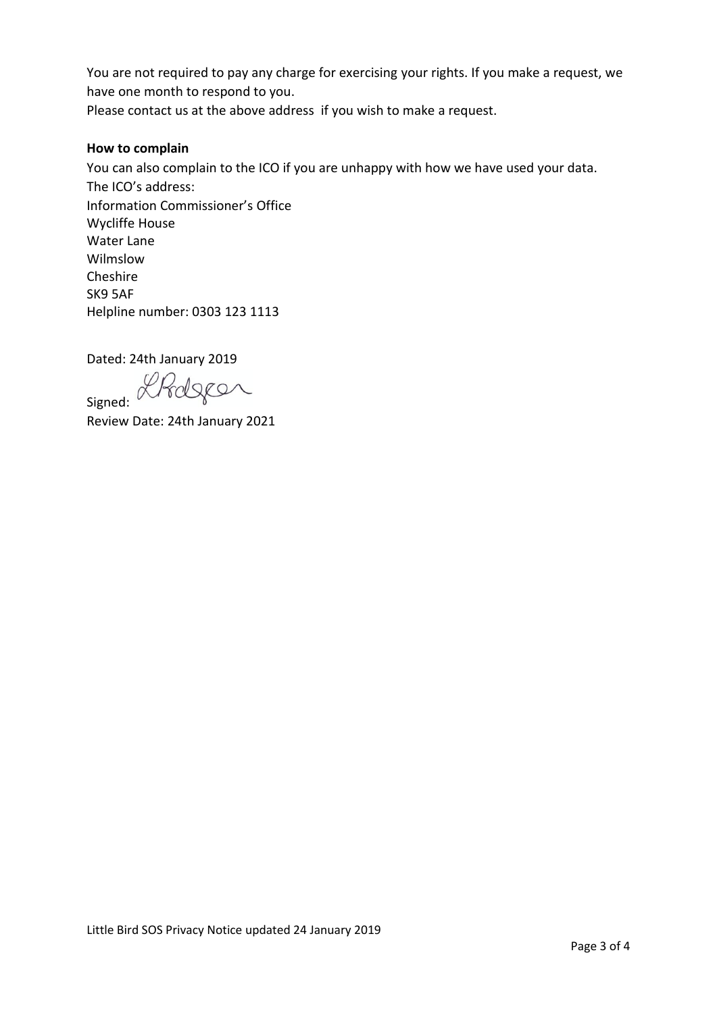You are not required to pay any charge for exercising your rights. If you make a request, we have one month to respond to you.

# Please contact us at the above address if you wish to make a request.

## **How to complain**

You can also complain to the ICO if you are unhappy with how we have used your data. The ICO's address: Information Commissioner's Office Wycliffe House Water Lane Wilmslow Cheshire SK9 5AF Helpline number: 0303 123 1113

Dated: 24th January 2019

Signed: Rhdger

Review Date: 24th January 2021